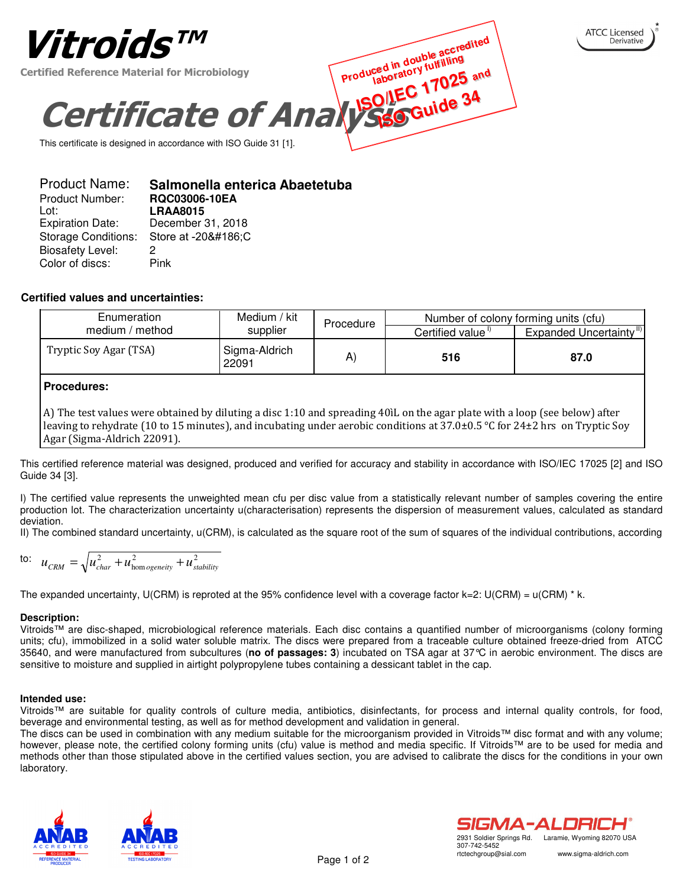

| Salmonella enterica Abaetetuba               |
|----------------------------------------------|
| RQC03006-10EA                                |
| <b>LRAA8015</b>                              |
| December 31, 2018                            |
| <b>Storage Conditions:</b><br>Store at -20ºC |
| 2                                            |
| Pink                                         |
|                                              |

## **Certified values and uncertainties:**

| Enumeration            | Medium / kit           | Procedure |                  | Number of colony forming units (cfu) |
|------------------------|------------------------|-----------|------------------|--------------------------------------|
| medium / method        | supplier               |           | Certified value" | Expanded Uncertainty <sup>11)</sup>  |
| Tryptic Soy Agar (TSA) | Sigma-Aldrich<br>22091 | A         | 516              | 87.0                                 |

# **Procedures:**

A) The test values were obtained by diluting a disc 1:10 and spreading 40lL on the agar plate with a loop (see below) after leaving to rehydrate (10 to 15 minutes), and incubating under aerobic conditions at  $37.0\pm0.5$  °C for  $24\pm2$  hrs on Tryptic Soy Agar (Sigma-Aldrich 22091).

This certified reference material was designed, produced and verified for accuracy and stability in accordance with ISO/IEC 17025 [2] and ISO Guide 34 [3].

I) The certified value represents the unweighted mean cfu per disc value from a statistically relevant number of samples covering the entire production lot. The characterization uncertainty u(characterisation) represents the dispersion of measurement values, calculated as standard deviation.

II) The combined standard uncertainty, u(CRM), is calculated as the square root of the sum of squares of the individual contributions, according

$$
\text{to:} \quad u_{\text{CRM}} = \sqrt{u_{\text{char}}^2 + u_{\text{homogeneity}}^2 + u_{\text{stability}}^2}
$$

The expanded uncertainty, U(CRM) is reproted at the 95% confidence level with a coverage factor  $k=2$ : U(CRM) = u(CRM)  $^*$  k.

## **Description:**

Vitroids™ are disc-shaped, microbiological reference materials. Each disc contains a quantified number of microorganisms (colony forming units; cfu), immobilized in a solid water soluble matrix. The discs were prepared from a traceable culture obtained freeze-dried from ATCC 35640, and were manufactured from subcultures (**no of passages: 3**) incubated on TSA agar at 37°C in aerobic environment. The discs are sensitive to moisture and supplied in airtight polypropylene tubes containing a dessicant tablet in the cap.

## **Intended use:**

Vitroids™ are suitable for quality controls of culture media, antibiotics, disinfectants, for process and internal quality controls, for food, beverage and environmental testing, as well as for method development and validation in general.

The discs can be used in combination with any medium suitable for the microorganism provided in Vitroids™ disc format and with any volume; however, please note, the certified colony forming units (cfu) value is method and media specific. If Vitroids™ are to be used for media and methods other than those stipulated above in the certified values section, you are advised to calibrate the discs for the conditions in your own laboratory.







\*